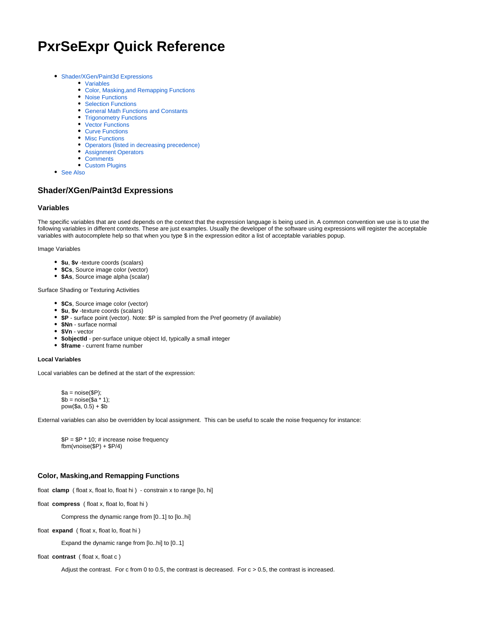# **PxrSeExpr Quick Reference**

- [Shader/XGen/Paint3d Expressions](#page-0-0)
	- [Variables](#page-0-1)
	- [Color, Masking,and Remapping Functions](#page-0-2)
	- [Noise Functions](#page-1-0)
	- [Selection Functions](#page-2-0)
	- [General Math Functions and Constants](#page-3-0)
	- [Trigonometry Functions](#page-3-1)
	- [Vector Functions](#page-4-0)
	- [Curve Functions](#page-4-1)
	- [Misc Functions](#page-4-2)
	- [Operators \(listed in decreasing precedence\)](#page-4-3)
	- [Assignment Operators](#page-5-0)
	- [Comments](#page-5-1)
	- [Custom Plugins](#page-5-2)
- [See Also](#page-5-3)

# <span id="page-0-0"></span>**Shader/XGen/Paint3d Expressions**

#### <span id="page-0-1"></span>**Variables**

The specific variables that are used depends on the context that the expression language is being used in. A common convention we use is to use the following variables in different contexts. These are just examples. Usually the developer of the software using expressions will register the acceptable variables with autocomplete help so that when you type \$ in the expression editor a list of acceptable variables popup.

Image Variables

- **\$u**, **\$v** -texture coords (scalars)
- **\$Cs**, Source image color (vector)
- **\$As**, Source image alpha (scalar)

Surface Shading or Texturing Activities

- **\$Cs**, Source image color (vector)
- **\$u**, **\$v** -texture coords (scalars)
- **\$P**  surface point (vector). Note: \$P is sampled from the Pref geometry (if available)
- **\$Nn** surface normal
- **\$Vn** vector
- **\$objectId** per-surface unique object Id, typically a small integer
- **\$frame** current frame number

### **Local Variables**

Local variables can be defined at the start of the expression:

 $a = noise(SP)$ ;  $$b = noise ($a * 1);$  $pow(\$a, 0.5) + \$b$ 

External variables can also be overridden by local assignment. This can be useful to scale the noise frequency for instance:

 $$P = $P * 10; # increase noise frequency$  $fbm(vnoise(\$P) + \$P/4)$ 

# <span id="page-0-2"></span>**Color, Masking,and Remapping Functions**

float **clamp** ( float x, float lo, float hi ) - constrain x to range [lo, hi]

float **compress** ( float x, float lo, float hi )

Compress the dynamic range from [0..1] to [lo..hi]

float **expand** ( float x, float lo, float hi )

Expand the dynamic range from [lo..hi] to [0..1]

float **contrast** ( float x, float c )

Adjust the contrast. For c from 0 to 0.5, the contrast is decreased. For  $c > 0.5$ , the contrast is increased.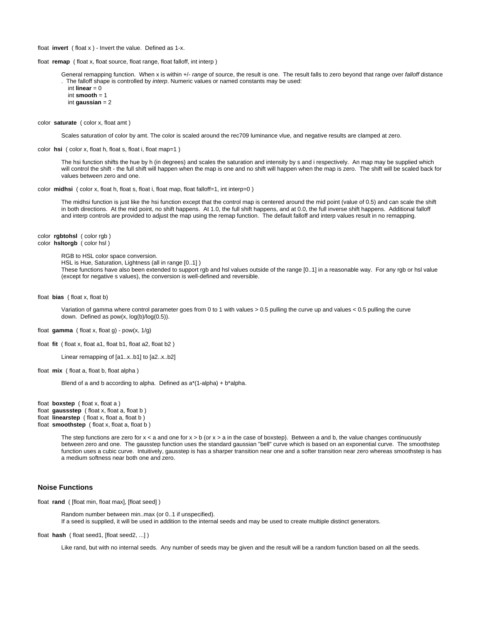float **invert** ( float x ) - Invert the value. Defined as 1-x.

float **remap** ( float x, float source, float range, float falloff, int interp )

General remapping function. When x is within +/- range of source, the result is one. The result falls to zero beyond that range over falloff distance . The falloff shape is controlled by *interp*. Numeric values or named constants may be used:

```
int linear = 0 int smooth = 1
int gaussian = 2
```
color **saturate** ( color x, float amt )

Scales saturation of color by amt. The color is scaled around the rec709 luminance vlue, and negative results are clamped at zero.

color **hsi** ( color x, float h, float s, float i, float map=1 )

The hsi function shifts the hue by h (in degrees) and scales the saturation and intensity by s and i respectively. An map may be supplied which will control the shift - the full shift will happen when the map is one and no shift will happen when the map is zero. The shift will be scaled back for values between zero and one.

color **midhsi** ( color x, float h, float s, float i, float map, float falloff=1, int interp=0 )

The midhsi function is just like the hsi function except that the control map is centered around the mid point (value of 0.5) and can scale the shift in both directions. At the mid point, no shift happens. At 1.0, the full shift happens, and at 0.0, the full inverse shift happens. Additional falloff and interp controls are provided to adjust the map using the remap function. The default falloff and interp values result in no remapping.

color **rgbtohsl** ( color rgb ) color **hsltorgb** ( color hsl )

RGB to HSL color space conversion.

HSL is Hue, Saturation, Lightness (all in range [0..1] )

These functions have also been extended to support rgb and hsl values outside of the range [0..1] in a reasonable way. For any rgb or hsl value (except for negative s values), the conversion is well-defined and reversible.

float **bias** ( float x, float b)

Variation of gamma where control parameter goes from 0 to 1 with values > 0.5 pulling the curve up and values < 0.5 pulling the curve down. Defined as pow(x, log(b)/log(0.5)).

float **gamma** ( float x, float g) -  $pow(x, 1/q)$ 

float **fit** ( float x, float a1, float b1, float a2, float b2 )

```
Linear remapping of [a1..x..b1] to [a2..x..b2]
```
float **mix** ( float a, float b, float alpha )

Blend of a and b according to alpha. Defined as  $a^*(1-a)$ pha) + b\*alpha.

float **boxstep** ( float x, float a ) float gaussstep ( float x, float a, float b ) float **linearstep** ( float x, float a, float b )

float **smoothstep** ( float x, float a, float b )

The step functions are zero for  $x < a$  and one for  $x > b$  (or  $x > a$  in the case of boxstep). Between a and b, the value changes continuously between zero and one. The gausstep function uses the standard gaussian "bell" curve which is based on an exponential curve. The smoothstep function uses a cubic curve. Intuitively, gausstep is has a sharper transition near one and a softer transition near zero whereas smoothstep is has a medium softness near both one and zero.

## <span id="page-1-0"></span>**Noise Functions**

float **rand** ( [float min, float max], [float seed] )

Random number between min..max (or 0..1 if unspecified). If a seed is supplied, it will be used in addition to the internal seeds and may be used to create multiple distinct generators.

float **hash** ( float seed1, [float seed2, ...] )

Like rand, but with no internal seeds. Any number of seeds may be given and the result will be a random function based on all the seeds.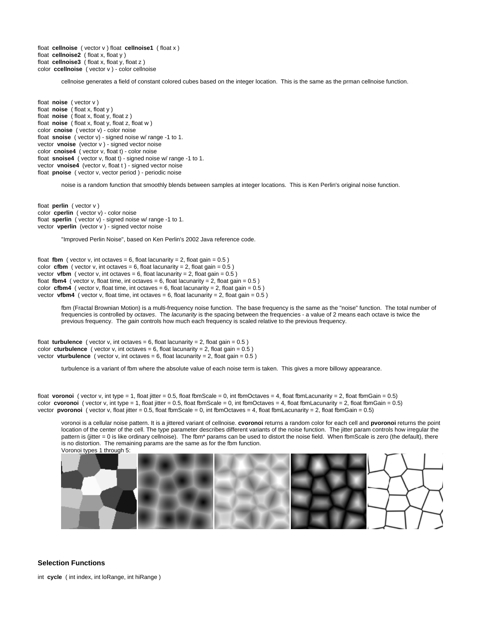float **cellnoise** ( vector v ) float **cellnoise1** ( float x ) float **cellnoise2** ( float x, float y ) float **cellnoise3** ( float x, float y, float z ) color **ccellnoise** ( vector v ) - color cellnoise

cellnoise generates a field of constant colored cubes based on the integer location. This is the same as the prman cellnoise function.

float **noise** ( vector v ) float **noise** ( float x, float y ) float **noise** ( float x, float y, float z ) float **noise** ( float x, float y, float z, float w ) color **cnoise** ( vector v) - color noise float **snoise** ( vector v) - signed noise w/ range -1 to 1. vector **vnoise** (vector v ) - signed vector noise color **cnoise4** ( vector v, float t) - color noise float **snoise4** ( vector v, float t) - signed noise w/ range -1 to 1. vector **vnoise4** (vector v, float t) - signed vector noise float **pnoise** ( vector v, vector period ) - periodic noise

noise is a random function that smoothly blends between samples at integer locations. This is Ken Perlin's original noise function.

float **perlin** ( vector v ) color **cperlin** ( vector v) - color noise float **sperlin** ( vector v) - signed noise w/ range -1 to 1. vector **vperlin** (vector v ) - signed vector noise

"Improved Perlin Noise", based on Ken Perlin's 2002 Java reference code.

float **fbm** ( vector v, int octaves = 6, float lacunarity = 2, float gain =  $0.5$  ) color **cfbm** ( vector v, int octaves = 6, float lacunarity = 2, float gain =  $0.5$  ) vector **vfbm** ( vector v, int octaves = 6, float lacunarity = 2, float gain =  $0.5$ ) float **fbm4** ( vector v, float time, int octaves = 6, float lacunarity = 2, float gain =  $0.5$  ) color  $cfbm4$  ( vector v, float time, int octaves = 6, float lacunarity = 2, float gain =  $0.5$  ) vector **vfbm4** ( vector v, float time, int octaves = 6, float lacunarity = 2, float gain =  $0.5$  )

> fbm (Fractal Brownian Motion) is a multi-frequency noise function. The base frequency is the same as the "noise" function. The total number of frequencies is controlled by octaves. The lacunarity is the spacing between the frequencies - a value of 2 means each octave is twice the previous frequency. The gain controls how much each frequency is scaled relative to the previous frequency.

float **turbulence** ( vector v, int octaves = 6, float lacunarity = 2, float gain =  $0.5$  ) color **cturbulence** ( vector v, int octaves = 6, float lacunarity = 2, float gain =  $0.5$  ) vector **vturbulence** ( vector v, int octaves  $= 6$ , float lacunarity  $= 2$ , float gain  $= 0.5$ )

turbulence is a variant of fbm where the absolute value of each noise term is taken. This gives a more billowy appearance.

float **voronoi** (vector v, int type = 1, float jitter = 0.5, float fbmScale = 0, int fbmOctaves = 4, float fbmLacunarity = 2, float fbmGain = 0.5) color **cvoronoi** ( vector v, int type = 1, float jitter = 0.5, float fbmScale = 0, int fbmOctaves = 4, float fbmLacunarity = 2, float fbmGain = 0.5) vector **pvoronoi** ( vector v, float jitter = 0.5, float fbmScale = 0, int fbmOctaves = 4, float fbmLacunarity = 2, float fbmGain = 0.5)

voronoi is a cellular noise pattern. It is a jittered variant of cellnoise. **cvoronoi** returns a random color for each cell and **pvoronoi** returns the point location of the center of the cell. The type parameter describes different variants of the noise function. The jitter param controls how irregular the pattern is (jitter = 0 is like ordinary cellnoise). The fbm\* params can be used to distort the noise field. When fbmScale is zero (the default), there is no distortion. The remaining params are the same as for the fbm function.



## <span id="page-2-0"></span>**Selection Functions**

int **cycle** ( int index, int loRange, int hiRange )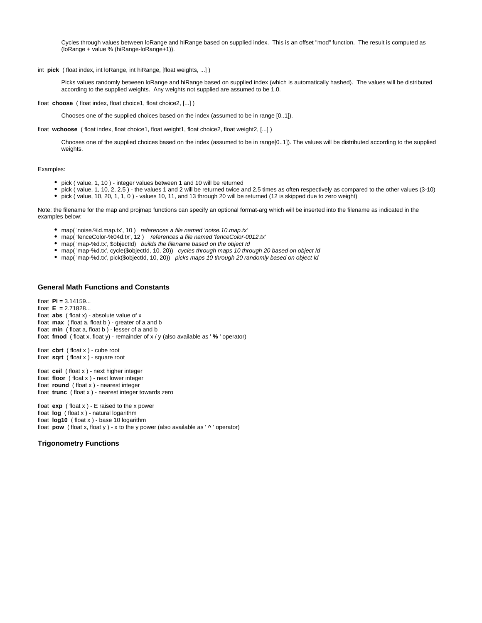Cycles through values between loRange and hiRange based on supplied index. This is an offset "mod" function. The result is computed as (loRange + value % (hiRange-loRange+1)).

int **pick** ( float index, int loRange, int hiRange, [float weights, ...] )

Picks values randomly between loRange and hiRange based on supplied index (which is automatically hashed). The values will be distributed according to the supplied weights. Any weights not supplied are assumed to be 1.0.

float **choose** ( float index, float choice1, float choice2, [...] )

Chooses one of the supplied choices based on the index (assumed to be in range [0..1]).

float **wchoose** ( float index, float choice1, float weight1, float choice2, float weight2, [...] )

Chooses one of the supplied choices based on the index (assumed to be in range[0..1]). The values will be distributed according to the supplied weights.

#### Examples:

- pick ( value, 1, 10 ) integer values between 1 and 10 will be returned
- $\bullet$  pick ( value, 1, 10, 2, 2.5) the values 1 and 2 will be returned twice and 2.5 times as often respectively as compared to the other values (3-10)
- pick ( value, 10, 20, 1, 1, 0 ) values 10, 11, and 13 through 20 will be returned (12 is skipped due to zero weight)

Note: the filename for the map and projmap functions can specify an optional format-arg which will be inserted into the filename as indicated in the examples below:

- map( 'noise.%d.map.tx', 10 ) references a file named 'noise.10.map.tx'
- map( 'fenceColor-%04d.tx', 12 ) references a file named 'fenceColor-0012.tx'
- map( 'map-%d.tx', \$objectId) builds the filename based on the object Id
- map( 'map-%d.tx', cycle(\$objectId, 10, 20)) cycles through maps 10 through 20 based on object Id
- map( 'map-%d.tx', pick(\$objectId, 10, 20)) picks maps 10 through 20 randomly based on object Id

## <span id="page-3-0"></span>**General Math Functions and Constants**

float **PI** = 3.14159... float **E** = 2.71828... float **abs** ( float x) - absolute value of x float **max** (float a, float b) - greater of a and b float **min** (float a, float b) - lesser of a and b float **fmod** ( float x, float y) - remainder of x / y (also available as ' **%** ' operator) float **cbrt** ( float x ) - cube root float **sqrt** ( float x ) - square root float **ceil** ( float x ) - next higher integer float **floor** ( float x ) - next lower integer float **round** ( float x ) - nearest integer float **trunc** ( float x ) - nearest integer towards zero float **exp** ( float x ) - E raised to the x power float **log** ( float x ) - natural logarithm

float **log10** ( float x ) - base 10 logarithm float **pow** ( float x, float y ) - x to the y power (also available as ' **^** ' operator)

#### <span id="page-3-1"></span>**Trigonometry Functions**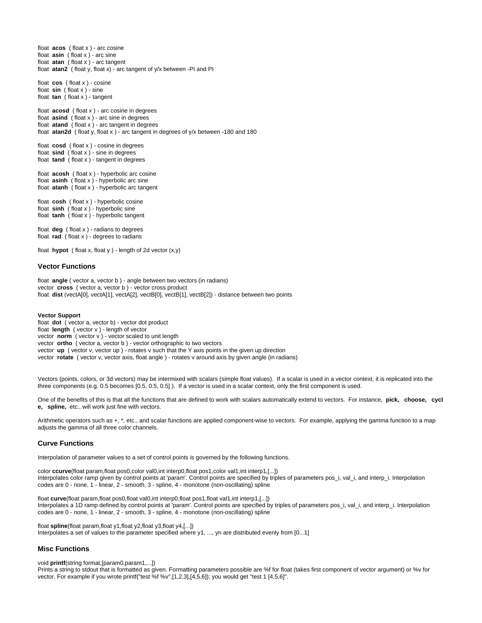float **acos** ( float x ) - arc cosine float **asin** ( float x ) - arc sine float **atan** ( float x ) - arc tangent float **atan2** ( float y, float x) - arc tangent of y/x between -PI and PI float **cos** ( float x ) - cosine float **sin** ( float x ) - sine float **tan** ( float x ) - tangent float **acosd** ( float x ) - arc cosine in degrees float **asind** ( float x ) - arc sine in degrees float **atand** ( float x ) - arc tangent in degrees float **atan2d** ( float y, float x ) - arc tangent in degrees of y/x between -180 and 180 float **cosd** ( float x ) - cosine in degrees float **sind** ( float x ) - sine in degrees float **tand** ( float x ) - tangent in degrees float **acosh** ( float x ) - hyperbolic arc cosine float **asinh** ( float x ) - hyperbolic arc sine float **atanh** ( float x ) - hyperbolic arc tangent float **cosh** ( float x ) - hyperbolic cosine float **sinh** ( float x ) - hyperbolic sine float **tanh** ( float x ) - hyperbolic tangent float **deg** ( float x ) - radians to degrees float **rad** ( float x ) - degrees to radians

float **hypot** ( float x, float y ) - length of 2d vector (x,y)

## <span id="page-4-0"></span>**Vector Functions**

float **angle** ( vector a, vector b ) - angle between two vectors (in radians) vector **cross** ( vector a, vector b ) - vector cross product float **dist** (vectA[0], vectA[1], vectA[2], vectB[0], vectB[1], vectB[2]) - distance between two points

#### **Vector Support**

float **dot** ( vector a, vector b) - vector dot product float **length** ( vector v ) - length of vector vector **norm** ( vector v ) - vector scaled to unit length vector **ortho** ( vector a, vector b ) - vector orthographic to two vectors vector **up** ( vector v, vector up ) - rotates v such that the Y axis points in the given up direction vector **rotate** ( vector v, vector axis, float angle ) - rotates v around axis by given angle (in radians)

Vectors (points, colors, or 3d vectors) may be intermixed with scalars (simple float values). If a scalar is used in a vector context, it is replicated into the three components (e.g. 0.5 becomes [0.5, 0.5, 0.5] ). If a vector is used in a scalar context, only the first component is used.

One of the benefits of this is that all the functions that are defined to work with scalars automatically extend to vectors. For instance, **pick, choose, cycl e, spline,** etc., will work just fine with vectors.

Arithmetic operators such as +, \*, etc., and scalar functions are applied component-wise to vectors. For example, applying the gamma function to a map adjusts the gamma of all three color channels.

#### <span id="page-4-1"></span>**Curve Functions**

Interpolation of parameter values to a set of control points is governed by the following functions.

color **ccurve**(float param,float pos0,color val0,int interp0,float pos1,color val1,int interp1,[...]) Interpolates color ramp given by control points at 'param'. Control points are specified by triples of parameters pos\_i, val\_i, and interp\_i. Interpolation codes are 0 - none, 1 - linear, 2 - smooth, 3 - spline, 4 - monotone (non-oscillating) spline

float **curve**(float param,float pos0,float val0,int interp0,float pos1,float val1,int interp1,[...]) Interpolates a 1D ramp defined by control points at 'param'. Control points are specified by triples of parameters pos\_i, val\_i, and interp\_i. Interpolation codes are 0 - none, 1 - linear, 2 - smooth, 3 - spline, 4 - monotone (non-oscillating) spline

float **spline**(float param,float y1,float y2,float y3,float y4,[...]) Interpolates a set of values to the parameter specified where y1, ..., yn are distributed evenly from [0...1]

#### <span id="page-4-2"></span>**Misc Functions**

void **printf**(string format,[param0,param1,...])

<span id="page-4-3"></span>Prints a string to stdout that is formatted as given. Formatting parameters possible are %f for float (takes first component of vector argument) or %v for vector. For example if you wrote printf("test %f %v",[1,2,3],[4,5,6]); you would get "test 1 [4,5,6]".